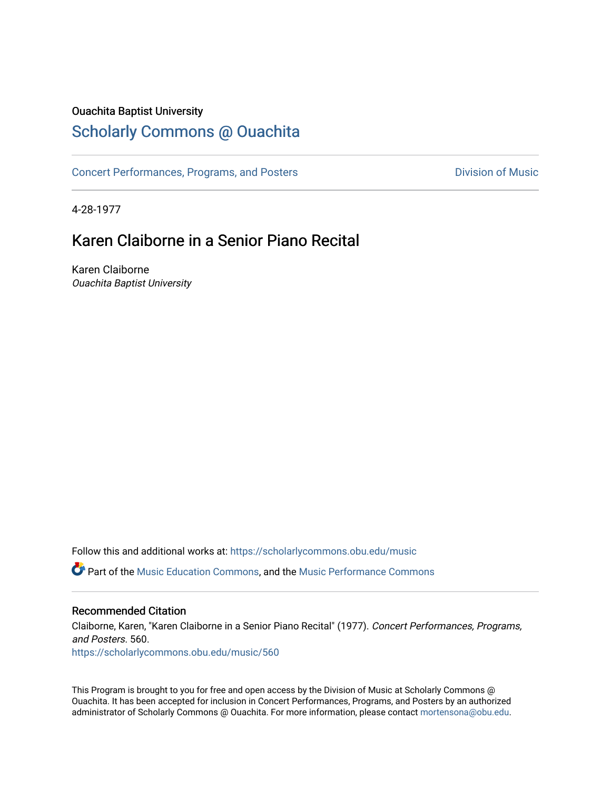### Ouachita Baptist University

### [Scholarly Commons @ Ouachita](https://scholarlycommons.obu.edu/)

[Concert Performances, Programs, and Posters](https://scholarlycommons.obu.edu/music) **Division of Music** Division of Music

4-28-1977

## Karen Claiborne in a Senior Piano Recital

Karen Claiborne Ouachita Baptist University

Follow this and additional works at: [https://scholarlycommons.obu.edu/music](https://scholarlycommons.obu.edu/music?utm_source=scholarlycommons.obu.edu%2Fmusic%2F560&utm_medium=PDF&utm_campaign=PDFCoverPages) 

**C** Part of the [Music Education Commons,](http://network.bepress.com/hgg/discipline/1246?utm_source=scholarlycommons.obu.edu%2Fmusic%2F560&utm_medium=PDF&utm_campaign=PDFCoverPages) and the Music Performance Commons

### Recommended Citation

Claiborne, Karen, "Karen Claiborne in a Senior Piano Recital" (1977). Concert Performances, Programs, and Posters. 560. [https://scholarlycommons.obu.edu/music/560](https://scholarlycommons.obu.edu/music/560?utm_source=scholarlycommons.obu.edu%2Fmusic%2F560&utm_medium=PDF&utm_campaign=PDFCoverPages) 

This Program is brought to you for free and open access by the Division of Music at Scholarly Commons @ Ouachita. It has been accepted for inclusion in Concert Performances, Programs, and Posters by an authorized administrator of Scholarly Commons @ Ouachita. For more information, please contact [mortensona@obu.edu](mailto:mortensona@obu.edu).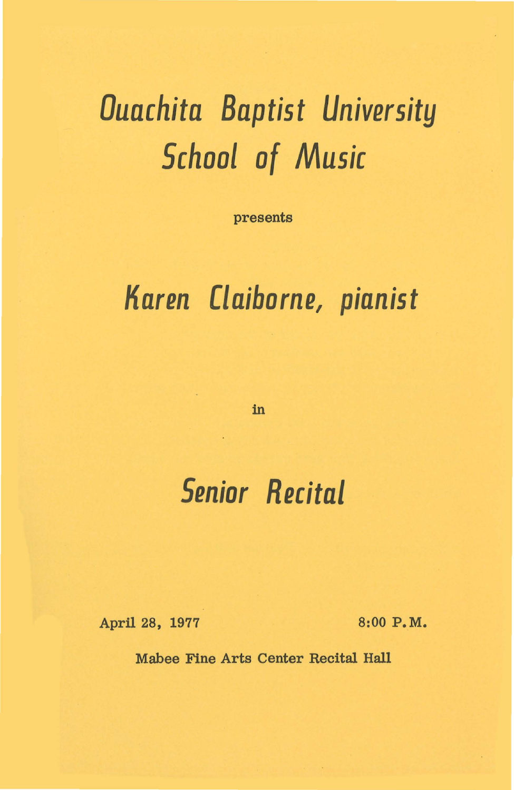# *Ouachita Baptist University School of Music*

presents

## *Karen Claiborne, pianist*

in

# *Senior Recital*

April 28, 1977 8:00 P.M.

Mabee Fine Arts Center Recital Hall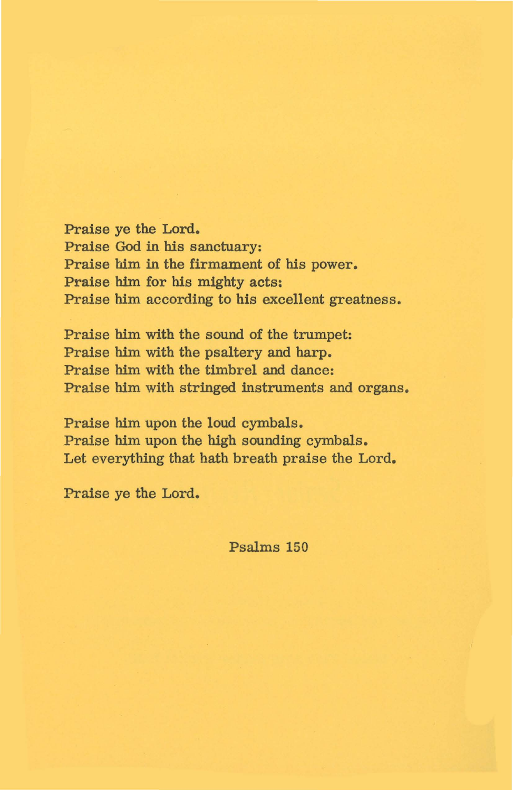Praise ye the Lord. Praise God in his sanctuary: Praise him in the firmament of his power. Praise him for his mighty acts: Praise him according to his excellent greatness.

Praise him with the sound of the trumpet: Praise him with the psaltery and harp. Praise him with the timbrel and dance: Praise him with stringed instruments and organs.

Praise him upon the loud cymbals. Praise him upon the high sounding cymbals. Let everything that hath breath praise the Lord.

Praise ye the Lord.

Psalms 150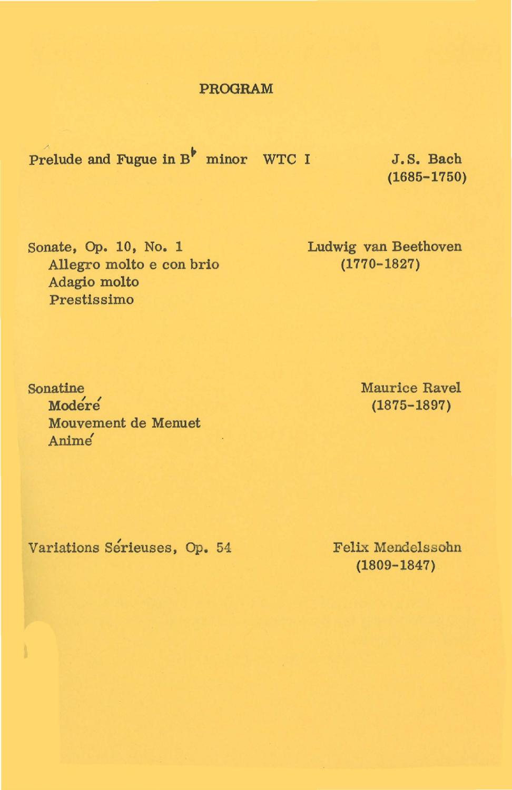#### PROGRAM

Prelude and Fugue in  $B^{\dagger}$  minor WTC I J.S. Bach

(1685-1750)

Sonate, Op. 10, No. 1 Allegro molto e con brio Adagio molto Prestissimo

Ludwig van Beethoven (1770-1827)

Sonatine Modere Mouvement de Menuet Anime'

Maurice Ravel (1875-1897)

Variations Serieuses, Op. 54

Felix Mendelssohn (1809-1847)